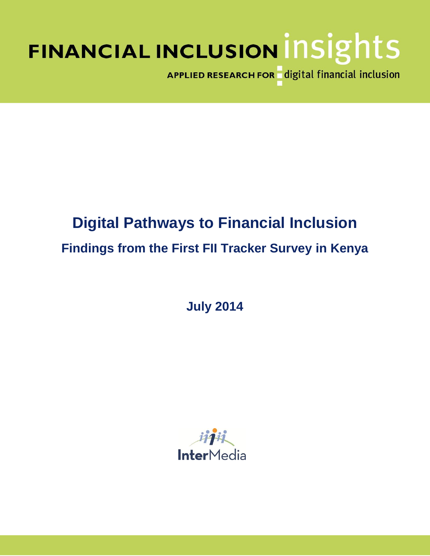# FINANCIAL INCLUSION INSIGHTS

APPLIED RESEARCH FOR digital financial inclusion

## **Digital Pathways to Financial Inclusion Findings from the First FII Tracker Survey in Kenya**

**July 2014**

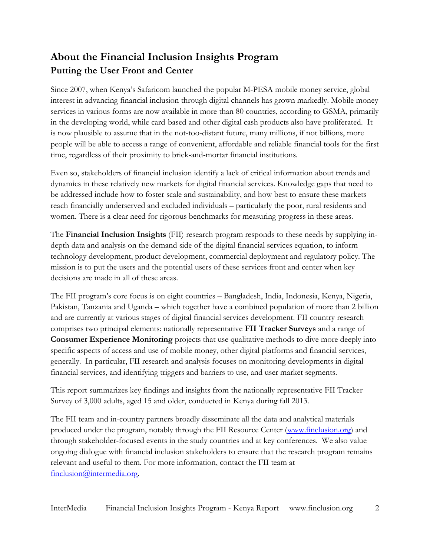## **About the Financial Inclusion Insights Program Putting the User Front and Center**

Since 2007, when Kenya's Safaricom launched the popular M-PESA mobile money service, global interest in advancing financial inclusion through digital channels has grown markedly. Mobile money services in various forms are now available in more than 80 countries, according to GSMA, primarily in the developing world, while card-based and other digital cash products also have proliferated. It is now plausible to assume that in the not-too-distant future, many millions, if not billions, more people will be able to access a range of convenient, affordable and reliable financial tools for the first time, regardless of their proximity to brick-and-mortar financial institutions.

Even so, stakeholders of financial inclusion identify a lack of critical information about trends and dynamics in these relatively new markets for digital financial services. Knowledge gaps that need to be addressed include how to foster scale and sustainability, and how best to ensure these markets reach financially underserved and excluded individuals – particularly the poor, rural residents and women. There is a clear need for rigorous benchmarks for measuring progress in these areas.

The **Financial Inclusion Insights** (FII) research program responds to these needs by supplying indepth data and analysis on the demand side of the digital financial services equation, to inform technology development, product development, commercial deployment and regulatory policy. The mission is to put the users and the potential users of these services front and center when key decisions are made in all of these areas.

The FII program's core focus is on eight countries – Bangladesh, India, Indonesia, Kenya, Nigeria, Pakistan, Tanzania and Uganda – which together have a combined population of more than 2 billion and are currently at various stages of digital financial services development. FII country research comprises two principal elements: nationally representative **FII Tracker Surveys** and a range of **Consumer Experience Monitoring** projects that use qualitative methods to dive more deeply into specific aspects of access and use of mobile money, other digital platforms and financial services, generally. In particular, FII research and analysis focuses on monitoring developments in digital financial services, and identifying triggers and barriers to use, and user market segments.

This report summarizes key findings and insights from the nationally representative FII Tracker Survey of 3,000 adults, aged 15 and older, conducted in Kenya during fall 2013.

The FII team and in-country partners broadly disseminate all the data and analytical materials produced under the program, notably through the FII Resource Center [\(www.finclusion.org\)](http://www.finclusion.org/) and through stakeholder-focused events in the study countries and at key conferences. We also value ongoing dialogue with financial inclusion stakeholders to ensure that the research program remains relevant and useful to them. For more information, contact the FII team at [finclusion@intermedia.org.](mailto:finclusion@intermedia.org)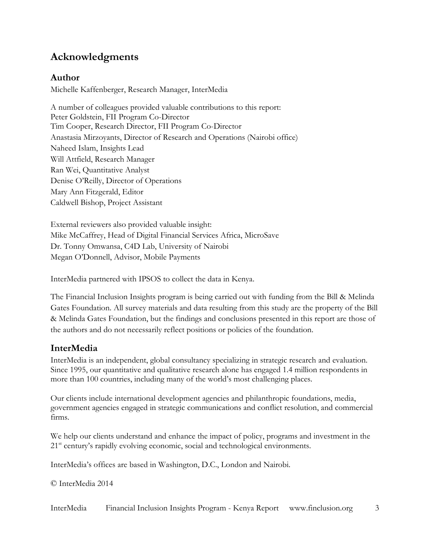## **Acknowledgments**

#### **Author**

Michelle Kaffenberger, Research Manager, InterMedia

A number of colleagues provided valuable contributions to this report: Peter Goldstein, FII Program Co-Director Tim Cooper, Research Director, FII Program Co-Director Anastasia Mirzoyants, Director of Research and Operations (Nairobi office) Naheed Islam, Insights Lead Will Attfield, Research Manager Ran Wei, Quantitative Analyst Denise O'Reilly, Director of Operations Mary Ann Fitzgerald, Editor Caldwell Bishop, Project Assistant

External reviewers also provided valuable insight: Mike McCaffrey, Head of Digital Financial Services Africa, MicroSave Dr. Tonny Omwansa, C4D Lab, University of Nairobi Megan O'Donnell, Advisor, Mobile Payments

InterMedia partnered with IPSOS to collect the data in Kenya.

The Financial Inclusion Insights program is being carried out with funding from the Bill & Melinda Gates Foundation. All survey materials and data resulting from this study are the property of the Bill & Melinda Gates Foundation, but the findings and conclusions presented in this report are those of the authors and do not necessarily reflect positions or policies of the foundation.

#### **InterMedia**

InterMedia is an independent, global consultancy specializing in strategic research and evaluation. Since 1995, our quantitative and qualitative research alone has engaged 1.4 million respondents in more than 100 countries, including many of the world's most challenging places.

Our clients include international development agencies and philanthropic foundations, media, government agencies engaged in strategic communications and conflict resolution, and commercial firms.

We help our clients understand and enhance the impact of policy, programs and investment in the 21<sup>st</sup> century's rapidly evolving economic, social and technological environments.

InterMedia's offices are based in Washington, D.C., London and Nairobi.

© InterMedia 2014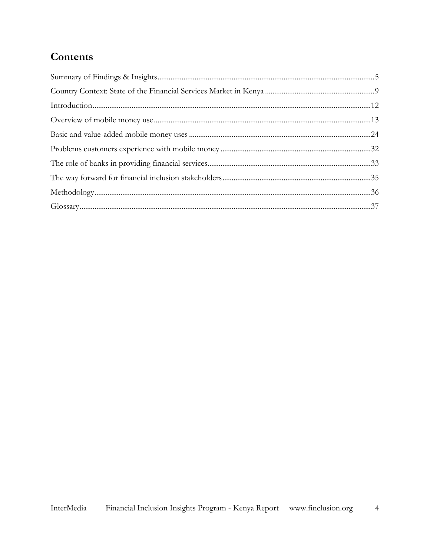## Contents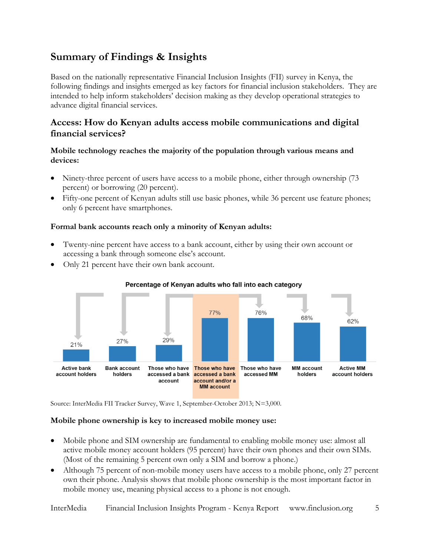## <span id="page-4-0"></span>**Summary of Findings & Insights**

Based on the nationally representative Financial Inclusion Insights (FII) survey in Kenya, the following findings and insights emerged as key factors for financial inclusion stakeholders. They are intended to help inform stakeholders' decision making as they develop operational strategies to advance digital financial services.

#### **Access: How do Kenyan adults access mobile communications and digital financial services?**

#### **Mobile technology reaches the majority of the population through various means and devices:**

- Ninety-three percent of users have access to a mobile phone, either through ownership (73 percent) or borrowing (20 percent).
- Fifty-one percent of Kenyan adults still use basic phones, while 36 percent use feature phones; only 6 percent have smartphones.

#### **Formal bank accounts reach only a minority of Kenyan adults:**

- Twenty-nine percent have access to a bank account, either by using their own account or accessing a bank through someone else's account.
- Only 21 percent have their own bank account.





Source: InterMedia FII Tracker Survey, Wave 1, September-October 2013; N=3,000.

#### **Mobile phone ownership is key to increased mobile money use:**

- Mobile phone and SIM ownership are fundamental to enabling mobile money use: almost all active mobile money account holders (95 percent) have their own phones and their own SIMs. (Most of the remaining 5 percent own only a SIM and borrow a phone.)
- Although 75 percent of non-mobile money users have access to a mobile phone, only 27 percent own their phone. Analysis shows that mobile phone ownership is the most important factor in mobile money use, meaning physical access to a phone is not enough.

InterMedia Financial Inclusion Insights Program - Kenya Report www.finclusion.org 5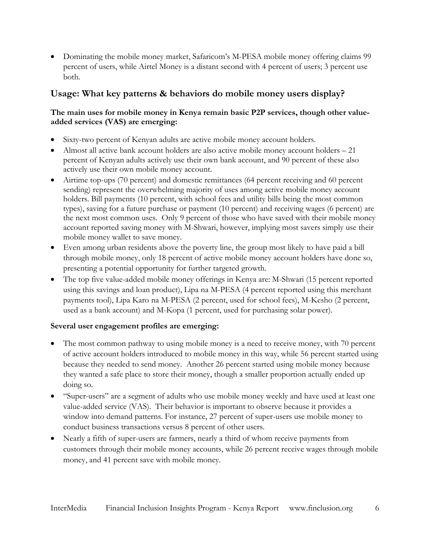Dominating the mobile money market, Safaricom's M-PESA mobile money offering claims 99 percent of users, while Airtel Money is a distant second with 4 percent of users; 3 percent use both.

#### **Usage: What key patterns & behaviors do mobile money users display?**

#### **The main uses for mobile money in Kenya remain basic P2P services, though other valueadded services (VAS) are emerging:**

- Sixty-two percent of Kenyan adults are active mobile money account holders.
- Almost all active bank account holders are also active mobile money account holders 21 percent of Kenyan adults actively use their own bank account, and 90 percent of these also actively use their own mobile money account.
- Airtime top-ups (70 percent) and domestic remittances (64 percent receiving and 60 percent sending) represent the overwhelming majority of uses among active mobile money account holders. Bill payments (10 percent, with school fees and utility bills being the most common types), saving for a future purchase or payment (10 percent) and receiving wages (6 percent) are the next most common uses. Only 9 percent of those who have saved with their mobile money account reported saving money with M-Shwari, however, implying most savers simply use their mobile money wallet to save money.
- Even among urban residents above the poverty line, the group most likely to have paid a bill through mobile money, only 18 percent of active mobile money account holders have done so, presenting a potential opportunity for further targeted growth.
- The top five value-added mobile money offerings in Kenya are: M-Shwari (15 percent reported using this savings and loan product), Lipa na M-PESA (4 percent reported using this merchant payments tool), Lipa Karo na M-PESA (2 percent, used for school fees), M-Kesho (2 percent, used as a bank account) and M-Kopa (1 percent, used for purchasing solar power).

#### **Several user engagement profiles are emerging:**

- The most common pathway to using mobile money is a need to receive money, with 70 percent of active account holders introduced to mobile money in this way, while 56 percent started using because they needed to send money. Another 26 percent started using mobile money because they wanted a safe place to store their money, though a smaller proportion actually ended up doing so.
- "Super-users" are a segment of adults who use mobile money weekly and have used at least one value-added service (VAS). Their behavior is important to observe because it provides a window into demand patterns. For instance, 27 percent of super-users use mobile money to conduct business transactions versus 8 percent of other users.
- Nearly a fifth of super-users are farmers, nearly a third of whom receive payments from customers through their mobile money accounts, while 26 percent receive wages through mobile money, and 41 percent save with mobile money.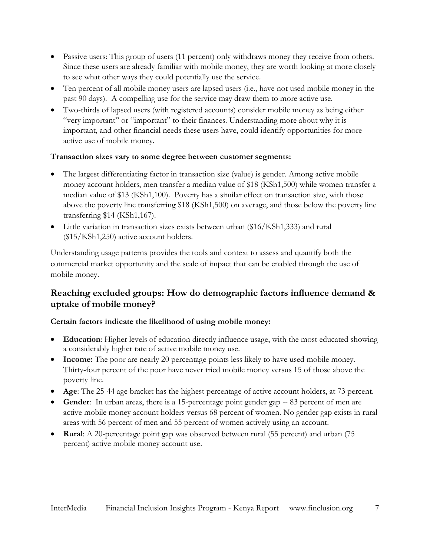- Passive users: This group of users (11 percent) only withdraws money they receive from others. Since these users are already familiar with mobile money, they are worth looking at more closely to see what other ways they could potentially use the service.
- Ten percent of all mobile money users are lapsed users (i.e., have not used mobile money in the past 90 days). A compelling use for the service may draw them to more active use.
- Two-thirds of lapsed users (with registered accounts) consider mobile money as being either "very important" or "important" to their finances. Understanding more about why it is important, and other financial needs these users have, could identify opportunities for more active use of mobile money.

#### **Transaction sizes vary to some degree between customer segments:**

- The largest differentiating factor in transaction size (value) is gender. Among active mobile money account holders, men transfer a median value of \$18 (KSh1,500) while women transfer a median value of \$13 (KSh1,100). Poverty has a similar effect on transaction size, with those above the poverty line transferring \$18 (KSh1,500) on average, and those below the poverty line transferring \$14 (KSh1,167).
- Little variation in transaction sizes exists between urban (\$16/KSh1,333) and rural (\$15/KSh1,250) active account holders.

Understanding usage patterns provides the tools and context to assess and quantify both the commercial market opportunity and the scale of impact that can be enabled through the use of mobile money.

#### **Reaching excluded groups: How do demographic factors influence demand & uptake of mobile money?**

#### **Certain factors indicate the likelihood of using mobile money:**

- **Education**: Higher levels of education directly influence usage, with the most educated showing a considerably higher rate of active mobile money use.
- **Income:** The poor are nearly 20 percentage points less likely to have used mobile money. Thirty-four percent of the poor have never tried mobile money versus 15 of those above the poverty line.
- **Age**: The 25-44 age bracket has the highest percentage of active account holders, at 73 percent.
- **Gender**: In urban areas, there is a 15-percentage point gender gap -- 83 percent of men are active mobile money account holders versus 68 percent of women. No gender gap exists in rural areas with 56 percent of men and 55 percent of women actively using an account.
- **Rural**: A 20-percentage point gap was observed between rural (55 percent) and urban (75 percent) active mobile money account use.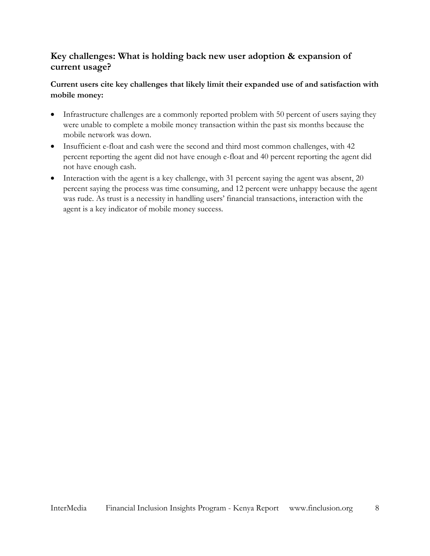#### **Key challenges: What is holding back new user adoption & expansion of current usage?**

#### **Current users cite key challenges that likely limit their expanded use of and satisfaction with mobile money:**

- Infrastructure challenges are a commonly reported problem with 50 percent of users saying they were unable to complete a mobile money transaction within the past six months because the mobile network was down.
- Insufficient e-float and cash were the second and third most common challenges, with 42 percent reporting the agent did not have enough e-float and 40 percent reporting the agent did not have enough cash.
- $\bullet$  Interaction with the agent is a key challenge, with 31 percent saying the agent was absent, 20 percent saying the process was time consuming, and 12 percent were unhappy because the agent was rude. As trust is a necessity in handling users' financial transactions, interaction with the agent is a key indicator of mobile money success.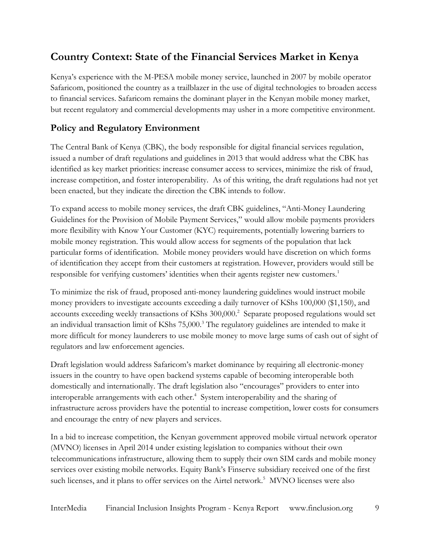## <span id="page-8-0"></span>**Country Context: State of the Financial Services Market in Kenya**

Kenya's experience with the M-PESA mobile money service, launched in 2007 by mobile operator Safaricom, positioned the country as a trailblazer in the use of digital technologies to broaden access to financial services. Safaricom remains the dominant player in the Kenyan mobile money market, but recent regulatory and commercial developments may usher in a more competitive environment.

#### **Policy and Regulatory Environment**

The Central Bank of Kenya (CBK), the body responsible for digital financial services regulation, issued a number of draft regulations and guidelines in 2013 that would address what the CBK has identified as key market priorities: increase consumer access to services, minimize the risk of fraud, increase competition, and foster interoperability. As of this writing, the draft regulations had not yet been enacted, but they indicate the direction the CBK intends to follow.

To expand access to mobile money services, the draft CBK guidelines, "Anti-Money Laundering Guidelines for the Provision of Mobile Payment Services," would allow mobile payments providers more flexibility with Know Your Customer (KYC) requirements, potentially lowering barriers to mobile money registration. This would allow access for segments of the population that lack particular forms of identification. Mobile money providers would have discretion on which forms of identification they accept from their customers at registration. However, providers would still be responsible for verifying customers' identities when their agents register new customers.<sup>1</sup>

To minimize the risk of fraud, proposed anti-money laundering guidelines would instruct mobile money providers to investigate accounts exceeding a daily turnover of KShs 100,000 (\$1,150), and accounts exceeding weekly transactions of KShs 300,000.<sup>2</sup> Separate proposed regulations would set an individual transaction limit of KShs 75,000.<sup>3</sup> The regulatory guidelines are intended to make it more difficult for money launderers to use mobile money to move large sums of cash out of sight of regulators and law enforcement agencies.

Draft legislation would address Safaricom's market dominance by requiring all electronic-money issuers in the country to have open backend systems capable of becoming interoperable both domestically and internationally. The draft legislation also "encourages" providers to enter into interoperable arrangements with each other.<sup>4</sup> System interoperability and the sharing of infrastructure across providers have the potential to increase competition, lower costs for consumers and encourage the entry of new players and services.

In a bid to increase competition, the Kenyan government approved mobile virtual network operator (MVNO) licenses in April 2014 under existing legislation to companies without their own telecommunications infrastructure, allowing them to supply their own SIM cards and mobile money services over existing mobile networks. Equity Bank's Finserve subsidiary received one of the first such licenses, and it plans to offer services on the Airtel network.<sup>5</sup> MVNO licenses were also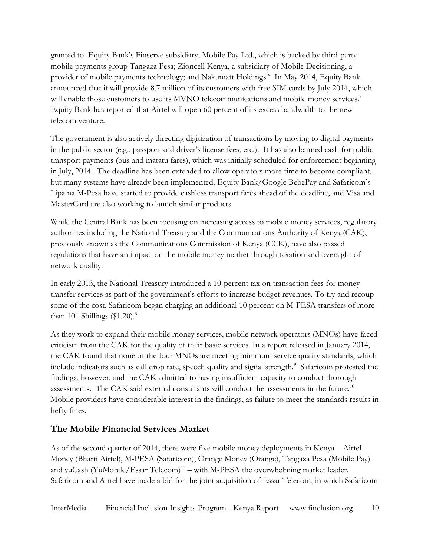granted to Equity Bank's Finserve subsidiary, Mobile Pay Ltd., which is backed by third-party mobile payments group Tangaza Pesa; Zioncell Kenya, a subsidiary of Mobile Decisioning, a provider of mobile payments technology; and Nakumatt Holdings. 6 In May 2014, Equity Bank announced that it will provide 8.7 million of its customers with free SIM cards by July 2014, which will enable those customers to use its MVNO telecommunications and mobile money services.<sup>7</sup> Equity Bank has reported that Airtel will open 60 percent of its excess bandwidth to the new telecom venture.

The government is also actively directing digitization of transactions by moving to digital payments in the public sector (e.g., passport and driver's license fees, etc.). It has also banned cash for public transport payments (bus and matatu fares), which was initially scheduled for enforcement beginning in July, 2014. The deadline has been extended to allow operators more time to become compliant, but many systems have already been implemented. Equity Bank/Google BebePay and Safaricom's Lipa na M-Pesa have started to provide cashless transport fares ahead of the deadline, and Visa and MasterCard are also working to launch similar products.

While the Central Bank has been focusing on increasing access to mobile money services, regulatory authorities including the National Treasury and the Communications Authority of Kenya (CAK), previously known as the Communications Commission of Kenya (CCK), have also passed regulations that have an impact on the mobile money market through taxation and oversight of network quality.

In early 2013, the National Treasury introduced a 10-percent tax on transaction fees for money transfer services as part of the government's efforts to increase budget revenues. To try and recoup some of the cost, Safaricom began charging an additional 10 percent on M-PESA transfers of more than 101 Shillings  $(\$1.20)$ .<sup>8</sup>

As they work to expand their mobile money services, mobile network operators (MNOs) have faced criticism from the CAK for the quality of their basic services. In a report released in January 2014, the CAK found that none of the four MNOs are meeting minimum service quality standards, which include indicators such as call drop rate, speech quality and signal strength. 9 Safaricom protested the findings, however, and the CAK admitted to having insufficient capacity to conduct thorough assessments. The CAK said external consultants will conduct the assessments in the future.<sup>10</sup> Mobile providers have considerable interest in the findings, as failure to meet the standards results in hefty fines.

#### **The Mobile Financial Services Market**

As of the second quarter of 2014, there were five mobile money deployments in Kenya – Airtel Money (Bharti Airtel), M-PESA (Safaricom), Orange Money (Orange), Tangaza Pesa (Mobile Pay) and yuCash (YuMobile/Essar Telecom) 11 – with M-PESA the overwhelming market leader. Safaricom and Airtel have made a bid for the joint acquisition of Essar Telecom, in which Safaricom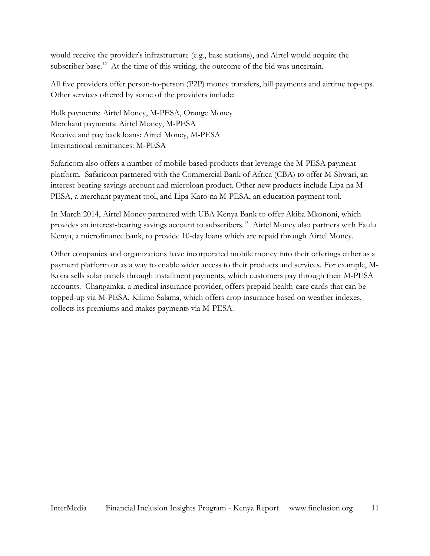would receive the provider's infrastructure (e.g., base stations), and Airtel would acquire the subscriber base.<sup>12</sup> At the time of this writing, the outcome of the bid was uncertain.

All five providers offer person-to-person (P2P) money transfers, bill payments and airtime top-ups. Other services offered by some of the providers include:

Bulk payments: Airtel Money, M-PESA, Orange Money Merchant payments: Airtel Money, M-PESA Receive and pay back loans: Airtel Money, M-PESA International remittances: M-PESA

Safaricom also offers a number of mobile-based products that leverage the M-PESA payment platform. Safaricom partnered with the Commercial Bank of Africa (CBA) to offer M-Shwari, an interest-bearing savings account and microloan product. Other new products include Lipa na M-PESA, a merchant payment tool, and Lipa Karo na M-PESA, an education payment tool.

In March 2014, Airtel Money partnered with UBA Kenya Bank to offer Akiba Mkononi, which provides an interest-bearing savings account to subscribers.<sup>13</sup> Airtel Money also partners with Faulu Kenya, a microfinance bank, to provide 10-day loans which are repaid through Airtel Money.

Other companies and organizations have incorporated mobile money into their offerings either as a payment platform or as a way to enable wider access to their products and services. For example, M-Kopa sells solar panels through installment payments, which customers pay through their M-PESA accounts. Changamka, a medical insurance provider, offers prepaid health-care cards that can be topped-up via M-PESA. Kilimo Salama, which offers crop insurance based on weather indexes, collects its premiums and makes payments via M-PESA.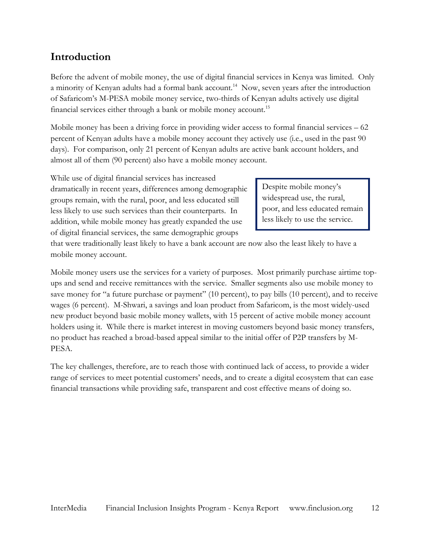## <span id="page-11-0"></span>**Introduction**

Before the advent of mobile money, the use of digital financial services in Kenya was limited. Only a minority of Kenyan adults had a formal bank account.<sup>14</sup> Now, seven years after the introduction of Safaricom's M-PESA mobile money service, two-thirds of Kenyan adults actively use digital financial services either through a bank or mobile money account.<sup>15</sup>

Mobile money has been a driving force in providing wider access to formal financial services – 62 percent of Kenyan adults have a mobile money account they actively use (i.e., used in the past 90 days). For comparison, only 21 percent of Kenyan adults are active bank account holders, and almost all of them (90 percent) also have a mobile money account.

While use of digital financial services has increased dramatically in recent years, differences among demographic groups remain, with the rural, poor, and less educated still less likely to use such services than their counterparts. In addition, while mobile money has greatly expanded the use of digital financial services, the same demographic groups

Despite mobile money's widespread use, the rural, poor, and less educated remain less likely to use the service.

that were traditionally least likely to have a bank account are now also the least likely to have a mobile money account.

Mobile money users use the services for a variety of purposes. Most primarily purchase airtime topups and send and receive remittances with the service. Smaller segments also use mobile money to save money for "a future purchase or payment" (10 percent), to pay bills (10 percent), and to receive wages (6 percent). M-Shwari, a savings and loan product from Safaricom, is the most widely-used new product beyond basic mobile money wallets, with 15 percent of active mobile money account holders using it. While there is market interest in moving customers beyond basic money transfers, no product has reached a broad-based appeal similar to the initial offer of P2P transfers by M-PESA.

The key challenges, therefore, are to reach those with continued lack of access, to provide a wider range of services to meet potential customers' needs, and to create a digital ecosystem that can ease financial transactions while providing safe, transparent and cost effective means of doing so.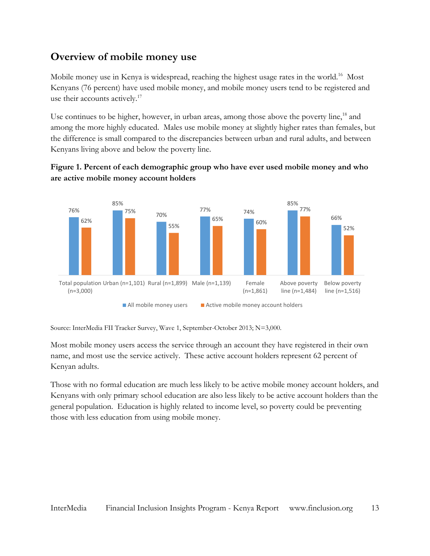## <span id="page-12-0"></span>**Overview of mobile money use**

Mobile money use in Kenya is widespread, reaching the highest usage rates in the world.<sup>16</sup> Most Kenyans (76 percent) have used mobile money, and mobile money users tend to be registered and use their accounts actively.<sup>17</sup>

Use continues to be higher, however, in urban areas, among those above the poverty line, $^{18}$  and among the more highly educated. Males use mobile money at slightly higher rates than females, but the difference is small compared to the discrepancies between urban and rural adults, and between Kenyans living above and below the poverty line.



#### **Figure 1. Percent of each demographic group who have ever used mobile money and who are active mobile money account holders**

Source: InterMedia FII Tracker Survey, Wave 1, September-October 2013; N=3,000.

Most mobile money users access the service through an account they have registered in their own name, and most use the service actively. These active account holders represent 62 percent of Kenyan adults.

Those with no formal education are much less likely to be active mobile money account holders, and Kenyans with only primary school education are also less likely to be active account holders than the general population. Education is highly related to income level, so poverty could be preventing those with less education from using mobile money.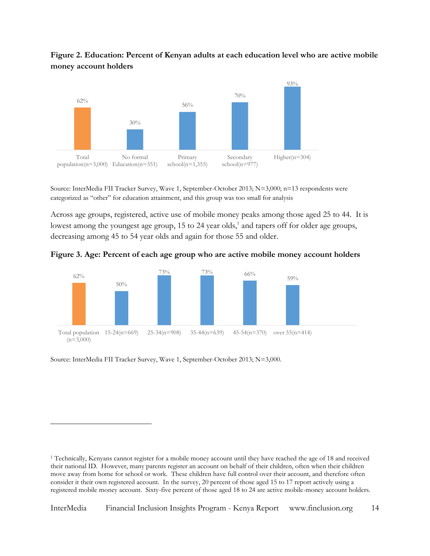



Source: InterMedia FII Tracker Survey, Wave 1, September-October 2013; N=3,000; n=13 respondents were categorized as "other" for education attainment, and this group was too small for analysis

Across age groups, registered, active use of mobile money peaks among those aged 25 to 44. It is lowest among the youngest age group, 15 to 24 year olds,<sup>1</sup> and tapers off for older age groups, decreasing among 45 to 54 year olds and again for those 55 and older.





Source: InterMedia FII Tracker Survey, Wave 1, September-October 2013; N=3,000.

 $\overline{a}$ 

<sup>1</sup> Technically, Kenyans cannot register for a mobile money account until they have reached the age of 18 and received their national ID. However, many parents register an account on behalf of their children, often when their children move away from home for school or work. These children have full control over their account, and therefore often consider it their own registered account. In the survey, 20 percent of those aged 15 to 17 report actively using a registered mobile money account. Sixty-five percent of those aged 18 to 24 are active mobile-money account holders.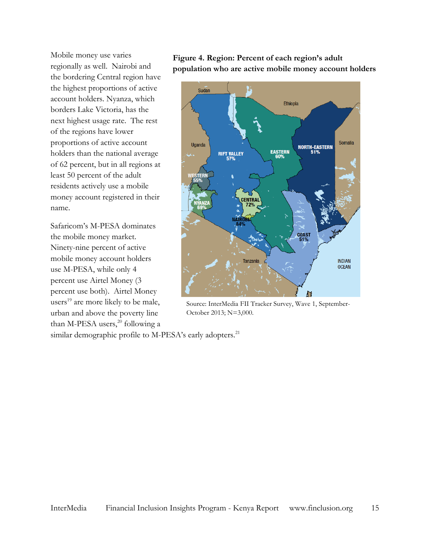Mobile money use varies regionally as well. Nairobi and the bordering Central region have the highest proportions of active account holders. Nyanza, which borders Lake Victoria, has the next highest usage rate. The rest of the regions have lower proportions of active account holders than the national average of 62 percent, but in all regions at least 50 percent of the adult residents actively use a mobile money account registered in their name.

Safaricom's M-PESA dominates the mobile money market. Ninety-nine percent of active mobile money account holders use M-PESA, while only 4 percent use Airtel Money (3 percent use both). Airtel Money users<sup>19</sup> are more likely to be male, urban and above the poverty line than M-PESA users, $20$  following a





Source: InterMedia FII Tracker Survey, Wave 1, September-October 2013; N=3,000.

similar demographic profile to M-PESA's early adopters.<sup>21</sup>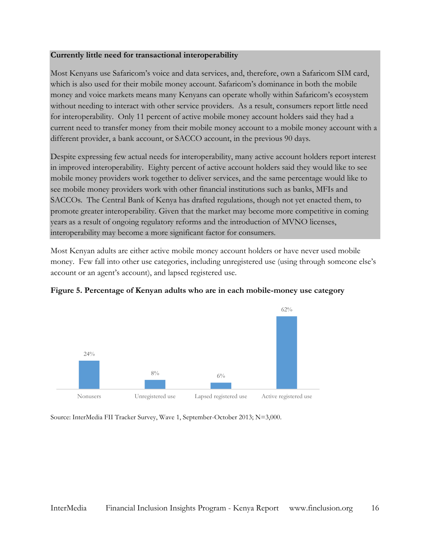#### **Currently little need for transactional interoperability**

Most Kenyans use Safaricom's voice and data services, and, therefore, own a Safaricom SIM card, which is also used for their mobile money account. Safaricom's dominance in both the mobile money and voice markets means many Kenyans can operate wholly within Safaricom's ecosystem without needing to interact with other service providers. As a result, consumers report little need for interoperability. Only 11 percent of active mobile money account holders said they had a current need to transfer money from their mobile money account to a mobile money account with a different provider, a bank account, or SACCO account, in the previous 90 days.

Despite expressing few actual needs for interoperability, many active account holders report interest in improved interoperability. Eighty percent of active account holders said they would like to see mobile money providers work together to deliver services, and the same percentage would like to see mobile money providers work with other financial institutions such as banks, MFIs and SACCOs. The Central Bank of Kenya has drafted regulations, though not yet enacted them, to promote greater interoperability. Given that the market may become more competitive in coming years as a result of ongoing regulatory reforms and the introduction of MVNO licenses, interoperability may become a more significant factor for consumers.

Most Kenyan adults are either active mobile money account holders or have never used mobile money. Few fall into other use categories, including unregistered use (using through someone else's account or an agent's account), and lapsed registered use.



**Figure 5. Percentage of Kenyan adults who are in each mobile-money use category**

Source: InterMedia FII Tracker Survey, Wave 1, September-October 2013; N=3,000.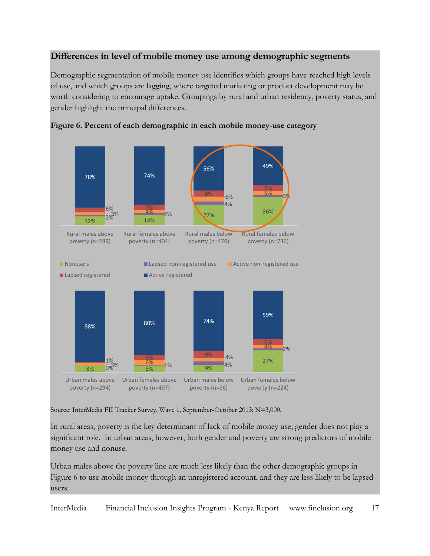#### **Differences in level of mobile money use among demographic segments**

Demographic segmentation of mobile money use identifies which groups have reached high levels of use, and which groups are lagging, where targeted marketing or product development may be worth considering to encourage uptake. Groupings by rural and urban residency, poverty status, and gender highlight the principal differences.





Source: InterMedia FII Tracker Survey, Wave 1, September-October 2013; N=3,000.

In rural areas, poverty is the key determinant of lack of mobile money use; gender does not play a significant role. In urban areas, however, both gender and poverty are strong predictors of mobile money use and nonuse.

Urban males above the poverty line are much less likely than the other demographic groups in Figure 6 to use mobile money through an unregistered account, and they are less likely to be lapsed users.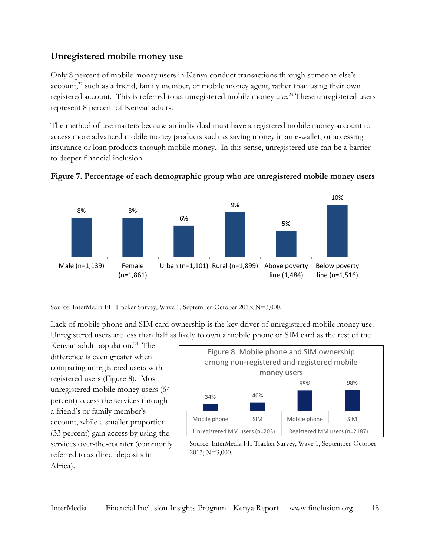#### **Unregistered mobile money use**

Only 8 percent of mobile money users in Kenya conduct transactions through someone else's account,<sup>22</sup> such as a friend, family member, or mobile money agent, rather than using their own registered account. This is referred to as unregistered mobile money use.<sup>23</sup> These unregistered users represent 8 percent of Kenyan adults.

The method of use matters because an individual must have a registered mobile money account to access more advanced mobile money products such as saving money in an e-wallet, or accessing insurance or loan products through mobile money. In this sense, unregistered use can be a barrier to deeper financial inclusion.



#### **Figure 7. Percentage of each demographic group who are unregistered mobile money users**

Source: InterMedia FII Tracker Survey, Wave 1, September-October 2013; N=3,000.

Lack of mobile phone and SIM card ownership is the key driver of unregistered mobile money use. Unregistered users are less than half as likely to own a mobile phone or SIM card as the rest of the

Kenyan adult population.<sup>24</sup> The difference is even greater when comparing unregistered users with registered users (Figure 8). Most unregistered mobile money users (64 percent) access the services through a friend's or family member's account, while a smaller proportion (33 percent) gain access by using the services over-the-counter (commonly referred to as direct deposits in Africa).

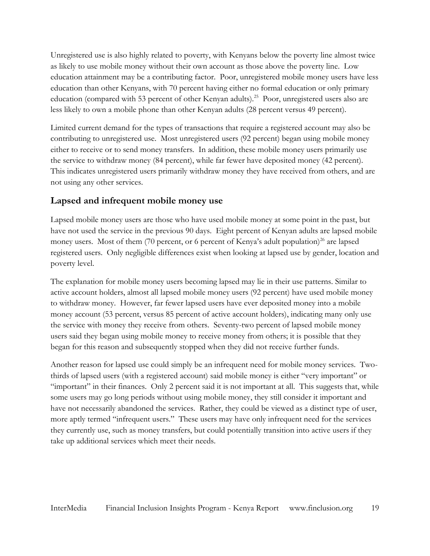Unregistered use is also highly related to poverty, with Kenyans below the poverty line almost twice as likely to use mobile money without their own account as those above the poverty line. Low education attainment may be a contributing factor. Poor, unregistered mobile money users have less education than other Kenyans, with 70 percent having either no formal education or only primary education (compared with 53 percent of other Kenyan adults).<sup>25</sup> Poor, unregistered users also are less likely to own a mobile phone than other Kenyan adults (28 percent versus 49 percent).

Limited current demand for the types of transactions that require a registered account may also be contributing to unregistered use. Most unregistered users (92 percent) began using mobile money either to receive or to send money transfers. In addition, these mobile money users primarily use the service to withdraw money (84 percent), while far fewer have deposited money (42 percent). This indicates unregistered users primarily withdraw money they have received from others, and are not using any other services.

#### **Lapsed and infrequent mobile money use**

Lapsed mobile money users are those who have used mobile money at some point in the past, but have not used the service in the previous 90 days. Eight percent of Kenyan adults are lapsed mobile money users. Most of them (70 percent, or 6 percent of Kenya's adult population)<sup>26</sup> are lapsed registered users. Only negligible differences exist when looking at lapsed use by gender, location and poverty level.

The explanation for mobile money users becoming lapsed may lie in their use patterns. Similar to active account holders, almost all lapsed mobile money users (92 percent) have used mobile money to withdraw money. However, far fewer lapsed users have ever deposited money into a mobile money account (53 percent, versus 85 percent of active account holders), indicating many only use the service with money they receive from others. Seventy-two percent of lapsed mobile money users said they began using mobile money to receive money from others; it is possible that they began for this reason and subsequently stopped when they did not receive further funds.

Another reason for lapsed use could simply be an infrequent need for mobile money services. Twothirds of lapsed users (with a registered account) said mobile money is either "very important" or "important" in their finances. Only 2 percent said it is not important at all. This suggests that, while some users may go long periods without using mobile money, they still consider it important and have not necessarily abandoned the services. Rather, they could be viewed as a distinct type of user, more aptly termed "infrequent users." These users may have only infrequent need for the services they currently use, such as money transfers, but could potentially transition into active users if they take up additional services which meet their needs.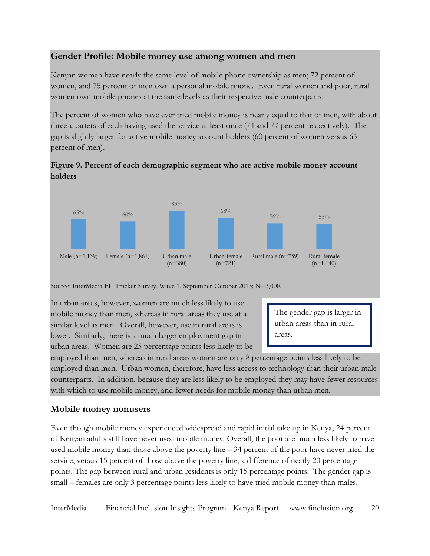#### **Gender Profile: Mobile money use among women and men**

Kenyan women have nearly the same level of mobile phone ownership as men; 72 percent of women, and 75 percent of men own a personal mobile phone. Even rural women and poor, rural women own mobile phones at the same levels as their respective male counterparts.

The percent of women who have ever tried mobile money is nearly equal to that of men, with about three-quarters of each having used the service at least once (74 and 77 percent respectively). The gap is slightly larger for active mobile money account holders (60 percent of women versus 65 percent of men).





Source: InterMedia FII Tracker Survey, Wave 1, September-October 2013; N=3,000.

In urban areas, however, women are much less likely to use mobile money than men, whereas in rural areas they use at a similar level as men. Overall, however, use in rural areas is lower. Similarly, there is a much larger employment gap in urban areas. Women are 25 percentage points less likely to be

The gender gap is larger in urban areas than in rural areas.

employed than men, whereas in rural areas women are only 8 percentage points less likely to be employed than men. Urban women, therefore, have less access to technology than their urban male counterparts. In addition, because they are less likely to be employed they may have fewer resources with which to use mobile money, and fewer needs for mobile money than urban men.

#### **Mobile money nonusers**

Even though mobile money experienced widespread and rapid initial take up in Kenya, 24 percent of Kenyan adults still have never used mobile money. Overall, the poor are much less likely to have used mobile money than those above the poverty line – 34 percent of the poor have never tried the service, versus 15 percent of those above the poverty line, a difference of nearly 20 percentage points. The gap between rural and urban residents is only 15 percentage points. The gender gap is small – females are only 3 percentage points less likely to have tried mobile money than males.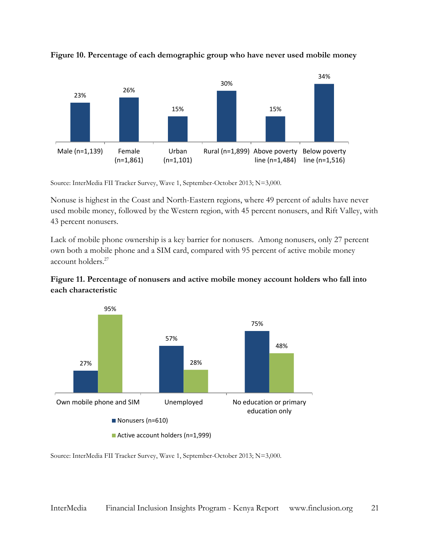

**Figure 10. Percentage of each demographic group who have never used mobile money**

Source: InterMedia FII Tracker Survey, Wave 1, September-October 2013; N=3,000.

Nonuse is highest in the Coast and North-Eastern regions, where 49 percent of adults have never used mobile money, followed by the Western region, with 45 percent nonusers, and Rift Valley, with 43 percent nonusers.

Lack of mobile phone ownership is a key barrier for nonusers. Among nonusers, only 27 percent own both a mobile phone and a SIM card, compared with 95 percent of active mobile money account holders.<sup>27</sup>





Source: InterMedia FII Tracker Survey, Wave 1, September-October 2013; N=3,000.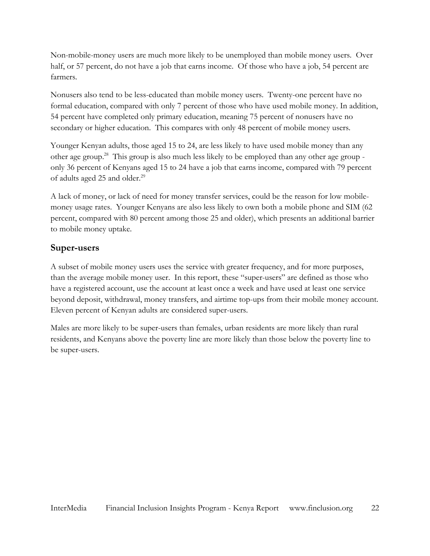Non-mobile-money users are much more likely to be unemployed than mobile money users. Over half, or 57 percent, do not have a job that earns income. Of those who have a job, 54 percent are farmers.

Nonusers also tend to be less-educated than mobile money users. Twenty-one percent have no formal education, compared with only 7 percent of those who have used mobile money. In addition, 54 percent have completed only primary education, meaning 75 percent of nonusers have no secondary or higher education. This compares with only 48 percent of mobile money users.

Younger Kenyan adults, those aged 15 to 24, are less likely to have used mobile money than any other age group.<sup>28</sup> This group is also much less likely to be employed than any other age group only 36 percent of Kenyans aged 15 to 24 have a job that earns income, compared with 79 percent of adults aged 25 and older.<sup>29</sup>

A lack of money, or lack of need for money transfer services, could be the reason for low mobilemoney usage rates. Younger Kenyans are also less likely to own both a mobile phone and SIM (62 percent, compared with 80 percent among those 25 and older), which presents an additional barrier to mobile money uptake.

#### **Super-users**

A subset of mobile money users uses the service with greater frequency, and for more purposes, than the average mobile money user. In this report, these "super-users" are defined as those who have a registered account, use the account at least once a week and have used at least one service beyond deposit, withdrawal, money transfers, and airtime top-ups from their mobile money account. Eleven percent of Kenyan adults are considered super-users.

Males are more likely to be super-users than females, urban residents are more likely than rural residents, and Kenyans above the poverty line are more likely than those below the poverty line to be super-users.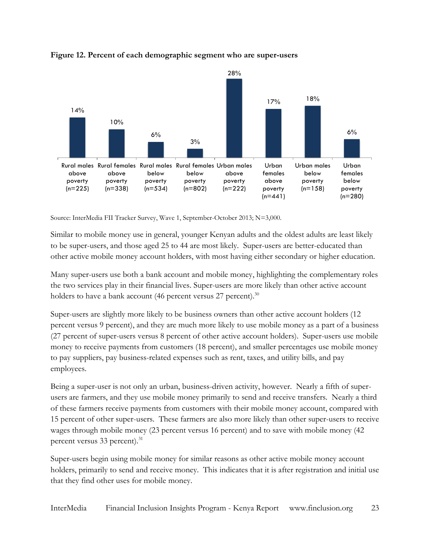

#### **Figure 12. Percent of each demographic segment who are super-users**

Source: InterMedia FII Tracker Survey, Wave 1, September-October 2013; N=3,000.

Similar to mobile money use in general, younger Kenyan adults and the oldest adults are least likely to be super-users, and those aged 25 to 44 are most likely. Super-users are better-educated than other active mobile money account holders, with most having either secondary or higher education.

Many super-users use both a bank account and mobile money, highlighting the complementary roles the two services play in their financial lives. Super-users are more likely than other active account holders to have a bank account (46 percent versus  $27$  percent).<sup>30</sup>

Super-users are slightly more likely to be business owners than other active account holders (12 percent versus 9 percent), and they are much more likely to use mobile money as a part of a business (27 percent of super-users versus 8 percent of other active account holders). Super-users use mobile money to receive payments from customers (18 percent), and smaller percentages use mobile money to pay suppliers, pay business-related expenses such as rent, taxes, and utility bills, and pay employees.

Being a super-user is not only an urban, business-driven activity, however. Nearly a fifth of superusers are farmers, and they use mobile money primarily to send and receive transfers. Nearly a third of these farmers receive payments from customers with their mobile money account, compared with 15 percent of other super-users. These farmers are also more likely than other super-users to receive wages through mobile money (23 percent versus 16 percent) and to save with mobile money (42 percent versus 33 percent).<sup>31</sup>

Super-users begin using mobile money for similar reasons as other active mobile money account holders, primarily to send and receive money. This indicates that it is after registration and initial use that they find other uses for mobile money.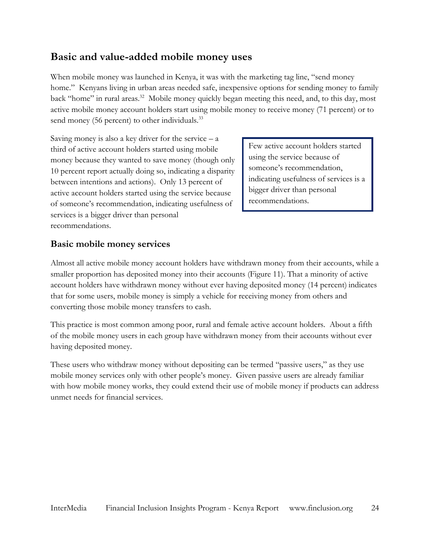## <span id="page-23-0"></span>**Basic and value-added mobile money uses**

When mobile money was launched in Kenya, it was with the marketing tag line, "send money home." Kenyans living in urban areas needed safe, inexpensive options for sending money to family back "home" in rural areas.<sup>32</sup> Mobile money quickly began meeting this need, and, to this day, most active mobile money account holders start using mobile money to receive money (71 percent) or to send money (56 percent) to other individuals.<sup>33</sup>

Saving money is also a key driver for the service  $- a$ third of active account holders started using mobile money because they wanted to save money (though only 10 percent report actually doing so, indicating a disparity between intentions and actions). Only 13 percent of active account holders started using the service because of someone's recommendation, indicating usefulness of services is a bigger driver than personal recommendations.

Few active account holders started using the service because of someone's recommendation, indicating usefulness of services is a bigger driver than personal recommendations.

#### **Basic mobile money services**

Almost all active mobile money account holders have withdrawn money from their accounts, while a smaller proportion has deposited money into their accounts (Figure 11). That a minority of active account holders have withdrawn money without ever having deposited money (14 percent) indicates that for some users, mobile money is simply a vehicle for receiving money from others and converting those mobile money transfers to cash.

This practice is most common among poor, rural and female active account holders. About a fifth of the mobile money users in each group have withdrawn money from their accounts without ever having deposited money.

These users who withdraw money without depositing can be termed "passive users," as they use mobile money services only with other people's money. Given passive users are already familiar with how mobile money works, they could extend their use of mobile money if products can address unmet needs for financial services.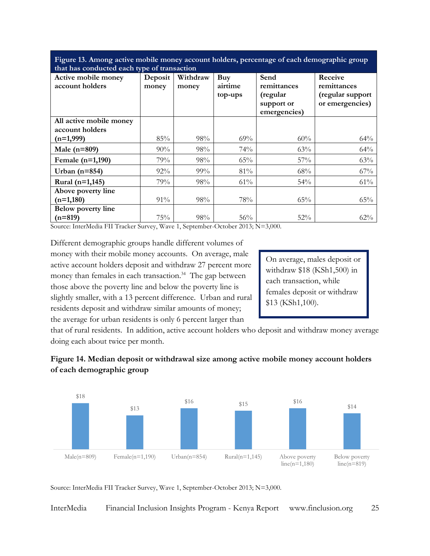| Figure 13. Among active mobile money account holders, percentage of each demographic group |  |
|--------------------------------------------------------------------------------------------|--|
| that has conducted each type of transaction                                                |  |

| that has conducted each type of transaction<br>Active mobile money | Deposit | Withdraw | Buy     | Send         | Receive          |
|--------------------------------------------------------------------|---------|----------|---------|--------------|------------------|
| account holders                                                    | money   | money    | airtime | remittances  | remittances      |
|                                                                    |         |          | top-ups | (regular     | (regular support |
|                                                                    |         |          |         | support or   | or emergencies)  |
|                                                                    |         |          |         | emergencies) |                  |
| All active mobile money                                            |         |          |         |              |                  |
| account holders                                                    |         |          |         |              |                  |
| $(n=1,999)$                                                        | 85%     | 98%      | $69\%$  | 60%          | 64%              |
| Male $(n=809)$                                                     | 90%     | 98%      | 74%     | 63%          | 64%              |
| Female (n=1,190)                                                   | 79%     | 98%      | 65%     | 57%          | 63%              |
| Urban $(n=854)$                                                    | 92%     | 99%      | 81%     | 68%          | 67%              |
| Rural (n=1,145)                                                    | 79%     | 98%      | 61%     | 54%          | 61%              |
| Above poverty line                                                 |         |          |         |              |                  |
| $(n=1,180)$                                                        | 91%     | 98%      | 78%     | 65%          | 65%              |
| <b>Below poverty line</b>                                          |         |          |         |              |                  |
| $(n=819)$                                                          | 75%     | 98%      | 56%     | 52%          | 62%              |

Source: InterMedia FII Tracker Survey, Wave 1, September-October 2013; N=3,000.

Different demographic groups handle different volumes of money with their mobile money accounts. On average, male active account holders deposit and withdraw 27 percent more money than females in each transaction.<sup>34</sup> The gap between those above the poverty line and below the poverty line is slightly smaller, with a 13 percent difference. Urban and rural residents deposit and withdraw similar amounts of money; the average for urban residents is only 6 percent larger than

On average, males deposit or withdraw \$18 (KSh1,500) in each transaction, while females deposit or withdraw \$13 (KSh1,100).

that of rural residents. In addition, active account holders who deposit and withdraw money average doing each about twice per month.





Source: InterMedia FII Tracker Survey, Wave 1, September-October 2013; N=3,000.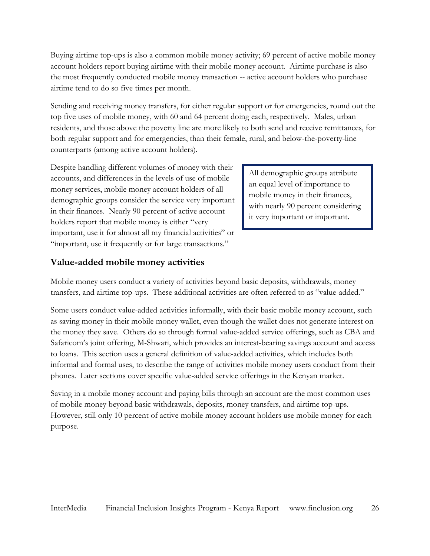Buying airtime top-ups is also a common mobile money activity; 69 percent of active mobile money account holders report buying airtime with their mobile money account. Airtime purchase is also the most frequently conducted mobile money transaction -- active account holders who purchase airtime tend to do so five times per month.

Sending and receiving money transfers, for either regular support or for emergencies, round out the top five uses of mobile money, with 60 and 64 percent doing each, respectively. Males, urban residents, and those above the poverty line are more likely to both send and receive remittances, for both regular support and for emergencies, than their female, rural, and below-the-poverty-line counterparts (among active account holders).

Despite handling different volumes of money with their accounts, and differences in the levels of use of mobile money services, mobile money account holders of all demographic groups consider the service very important in their finances. Nearly 90 percent of active account holders report that mobile money is either "very important, use it for almost all my financial activities" or "important, use it frequently or for large transactions."

All demographic groups attribute an equal level of importance to mobile money in their finances, with nearly 90 percent considering it very important or important.

#### **Value-added mobile money activities**

Mobile money users conduct a variety of activities beyond basic deposits, withdrawals, money transfers, and airtime top-ups. These additional activities are often referred to as "value-added."

Some users conduct value-added activities informally, with their basic mobile money account, such as saving money in their mobile money wallet, even though the wallet does not generate interest on the money they save. Others do so through formal value-added service offerings, such as CBA and Safaricom's joint offering, M-Shwari, which provides an interest-bearing savings account and access to loans. This section uses a general definition of value-added activities, which includes both informal and formal uses, to describe the range of activities mobile money users conduct from their phones. Later sections cover specific value-added service offerings in the Kenyan market.

Saving in a mobile money account and paying bills through an account are the most common uses of mobile money beyond basic withdrawals, deposits, money transfers, and airtime top-ups. However, still only 10 percent of active mobile money account holders use mobile money for each purpose.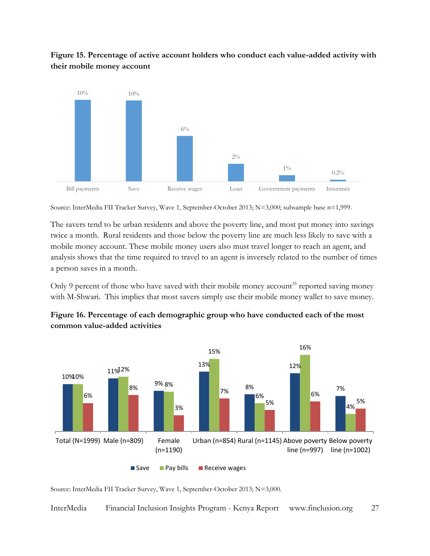



Source: InterMedia FII Tracker Survey, Wave 1, September-October 2013; N=3,000; subsample base n=1,999.

The savers tend to be urban residents and above the poverty line, and most put money into savings twice a month. Rural residents and those below the poverty line are much less likely to save with a mobile money account. These mobile money users also must travel longer to reach an agent, and analysis shows that the time required to travel to an agent is inversely related to the number of times a person saves in a month.

Only 9 percent of those who have saved with their mobile money account<sup>35</sup> reported saving money with M-Shwari. This implies that most savers simply use their mobile money wallet to save money.



**Figure 16. Percentage of each demographic group who have conducted each of the most common value-added activities**

Source: InterMedia FII Tracker Survey, Wave 1, September-October 2013; N=3,000.

InterMedia Financial Inclusion Insights Program - Kenya Report www.finclusion.org 27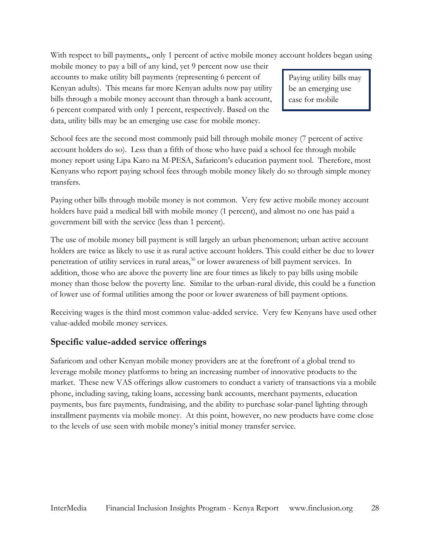With respect to bill payments,, only 1 percent of active mobile money account holders began using

mobile money to pay a bill of any kind, yet 9 percent now use their accounts to make utility bill payments (representing 6 percent of Kenyan adults). This means far more Kenyan adults now pay utility bills through a mobile money account than through a bank account, 6 percent compared with only 1 percent, respectively. Based on the data, utility bills may be an emerging use case for mobile money.

Paying utility bills may be an emerging use case for mobile

money.

School fees are the second most commonly paid bill through mobile money (7 percent of active account holders do so). Less than a fifth of those who have paid a school fee through mobile money report using Lipa Karo na M-PESA, Safaricom's education payment tool. Therefore, most Kenyans who report paying school fees through mobile money likely do so through simple money transfers.

Paying other bills through mobile money is not common. Very few active mobile money account holders have paid a medical bill with mobile money (1 percent), and almost no one has paid a government bill with the service (less than 1 percent).

The use of mobile money bill payment is still largely an urban phenomenon; urban active account holders are twice as likely to use it as rural active account holders. This could either be due to lower penetration of utility services in rural areas,<sup>36</sup> or lower awareness of bill payment services. In addition, those who are above the poverty line are four times as likely to pay bills using mobile money than those below the poverty line. Similar to the urban-rural divide, this could be a function of lower use of formal utilities among the poor or lower awareness of bill payment options.

Receiving wages is the third most common value-added service. Very few Kenyans have used other value-added mobile money services.

#### **Specific value-added service offerings**

Safaricom and other Kenyan mobile money providers are at the forefront of a global trend to leverage mobile money platforms to bring an increasing number of innovative products to the market. These new VAS offerings allow customers to conduct a variety of transactions via a mobile phone, including saving, taking loans, accessing bank accounts, merchant payments, education payments, bus fare payments, fundraising, and the ability to purchase solar-panel lighting through installment payments via mobile money. At this point, however, no new products have come close to the levels of use seen with mobile money's initial money transfer service.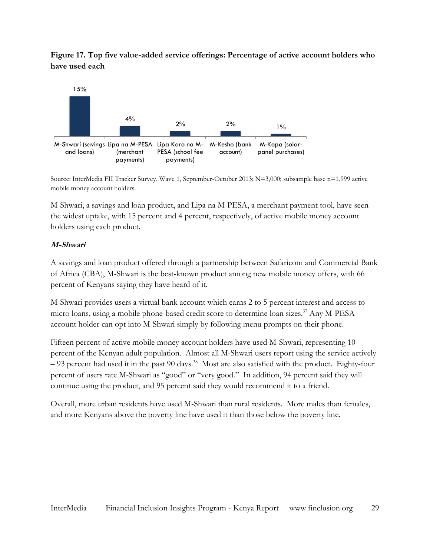**Figure 17. Top five value-added service offerings: Percentage of active account holders who have used each**



Source: InterMedia FII Tracker Survey, Wave 1, September-October 2013; N=3,000; subsample base n=1,999 active mobile money account holders.

M-Shwari, a savings and loan product, and Lipa na M-PESA, a merchant payment tool, have seen the widest uptake, with 15 percent and 4 percent, respectively, of active mobile money account holders using each product.

#### **M-Shwari**

A savings and loan product offered through a partnership between Safaricom and Commercial Bank of Africa (CBA), M-Shwari is the best-known product among new mobile money offers, with 66 percent of Kenyans saying they have heard of it.

M-Shwari provides users a virtual bank account which earns 2 to 5 percent interest and access to micro loans, using a mobile phone-based credit score to determine loan sizes.<sup>37</sup> Any M-PESA account holder can opt into M-Shwari simply by following menu prompts on their phone.

Fifteen percent of active mobile money account holders have used M-Shwari, representing 10 percent of the Kenyan adult population. Almost all M-Shwari users report using the service actively – 93 percent had used it in the past 90 days.<sup>38</sup> Most are also satisfied with the product. Eighty-four percent of users rate M-Shwari as "good" or "very good." In addition, 94 percent said they will continue using the product, and 95 percent said they would recommend it to a friend.

Overall, more urban residents have used M-Shwari than rural residents. More males than females, and more Kenyans above the poverty line have used it than those below the poverty line.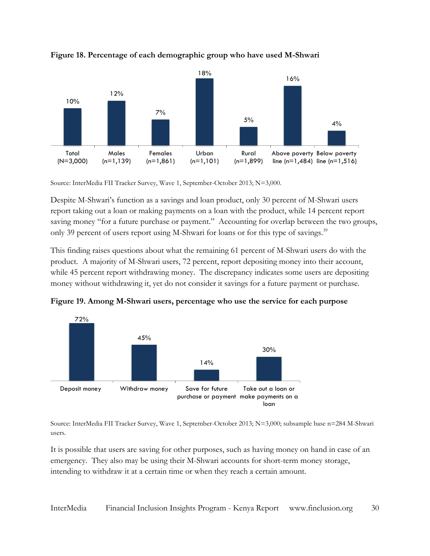

**Figure 18. Percentage of each demographic group who have used M-Shwari**

Source: InterMedia FII Tracker Survey, Wave 1, September-October 2013; N=3,000.

Despite M-Shwari's function as a savings and loan product, only 30 percent of M-Shwari users report taking out a loan or making payments on a loan with the product, while 14 percent report saving money "for a future purchase or payment." Accounting for overlap between the two groups, only 39 percent of users report using M-Shwari for loans or for this type of savings.<sup>39</sup>

This finding raises questions about what the remaining 61 percent of M-Shwari users do with the product. A majority of M-Shwari users, 72 percent, report depositing money into their account, while 45 percent report withdrawing money. The discrepancy indicates some users are depositing money without withdrawing it, yet do not consider it savings for a future payment or purchase.

**Figure 19. Among M-Shwari users, percentage who use the service for each purpose**



Source: InterMedia FII Tracker Survey, Wave 1, September-October 2013; N=3,000; subsample base n=284 M-Shwari users.

It is possible that users are saving for other purposes, such as having money on hand in case of an emergency. They also may be using their M-Shwari accounts for short-term money storage, intending to withdraw it at a certain time or when they reach a certain amount.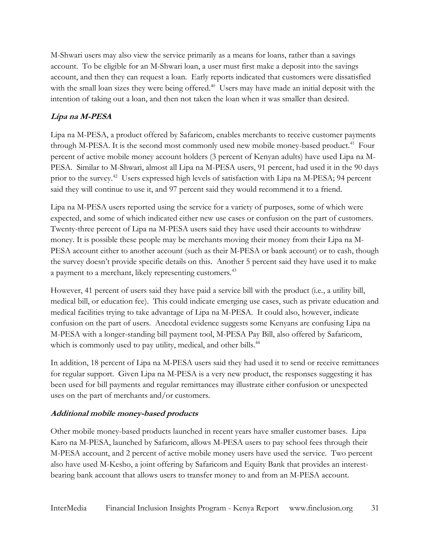M-Shwari users may also view the service primarily as a means for loans, rather than a savings account. To be eligible for an M-Shwari loan, a user must first make a deposit into the savings account, and then they can request a loan. Early reports indicated that customers were dissatisfied with the small loan sizes they were being offered.<sup>40</sup> Users may have made an initial deposit with the intention of taking out a loan, and then not taken the loan when it was smaller than desired.

#### **Lipa na M-PESA**

Lipa na M-PESA, a product offered by Safaricom, enables merchants to receive customer payments through M-PESA. It is the second most commonly used new mobile money-based product.<sup>41</sup> Four percent of active mobile money account holders (3 percent of Kenyan adults) have used Lipa na M-PESA. Similar to M-Shwari, almost all Lipa na M-PESA users, 91 percent, had used it in the 90 days prior to the survey.<sup>42</sup> Users expressed high levels of satisfaction with Lipa na M-PESA; 94 percent said they will continue to use it, and 97 percent said they would recommend it to a friend.

Lipa na M-PESA users reported using the service for a variety of purposes, some of which were expected, and some of which indicated either new use cases or confusion on the part of customers. Twenty-three percent of Lipa na M-PESA users said they have used their accounts to withdraw money. It is possible these people may be merchants moving their money from their Lipa na M-PESA account either to another account (such as their M-PESA or bank account) or to cash, though the survey doesn't provide specific details on this. Another 5 percent said they have used it to make a payment to a merchant, likely representing customers.<sup>43</sup>

However, 41 percent of users said they have paid a service bill with the product (i.e., a utility bill, medical bill, or education fee). This could indicate emerging use cases, such as private education and medical facilities trying to take advantage of Lipa na M-PESA. It could also, however, indicate confusion on the part of users. Anecdotal evidence suggests some Kenyans are confusing Lipa na M-PESA with a longer-standing bill payment tool, M-PESA Pay Bill, also offered by Safaricom, which is commonly used to pay utility, medical, and other bills.<sup>44</sup>

In addition, 18 percent of Lipa na M-PESA users said they had used it to send or receive remittances for regular support. Given Lipa na M-PESA is a very new product, the responses suggesting it has been used for bill payments and regular remittances may illustrate either confusion or unexpected uses on the part of merchants and/or customers.

#### **Additional mobile money-based products**

Other mobile money-based products launched in recent years have smaller customer bases. Lipa Karo na M-PESA, launched by Safaricom, allows M-PESA users to pay school fees through their M-PESA account, and 2 percent of active mobile money users have used the service. Two percent also have used M-Kesho, a joint offering by Safaricom and Equity Bank that provides an interestbearing bank account that allows users to transfer money to and from an M-PESA account.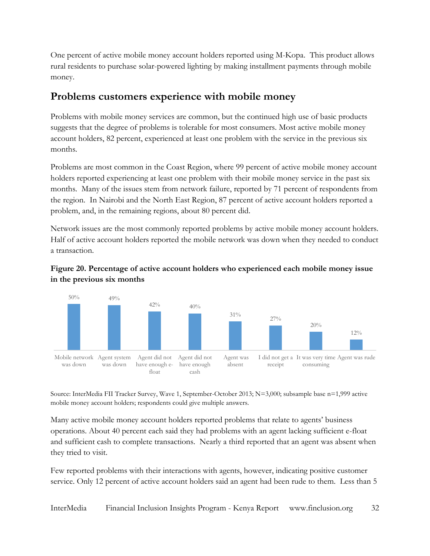One percent of active mobile money account holders reported using M-Kopa. This product allows rural residents to purchase solar-powered lighting by making installment payments through mobile money.

### <span id="page-31-0"></span>**Problems customers experience with mobile money**

Problems with mobile money services are common, but the continued high use of basic products suggests that the degree of problems is tolerable for most consumers. Most active mobile money account holders, 82 percent, experienced at least one problem with the service in the previous six months.

Problems are most common in the Coast Region, where 99 percent of active mobile money account holders reported experiencing at least one problem with their mobile money service in the past six months. Many of the issues stem from network failure, reported by 71 percent of respondents from the region. In Nairobi and the North East Region, 87 percent of active account holders reported a problem, and, in the remaining regions, about 80 percent did.

Network issues are the most commonly reported problems by active mobile money account holders. Half of active account holders reported the mobile network was down when they needed to conduct a transaction.



#### **Figure 20. Percentage of active account holders who experienced each mobile money issue in the previous six months**

Source: InterMedia FII Tracker Survey, Wave 1, September-October 2013; N=3,000; subsample base n=1,999 active mobile money account holders; respondents could give multiple answers.

Many active mobile money account holders reported problems that relate to agents' business operations. About 40 percent each said they had problems with an agent lacking sufficient e-float and sufficient cash to complete transactions. Nearly a third reported that an agent was absent when they tried to visit.

Few reported problems with their interactions with agents, however, indicating positive customer service. Only 12 percent of active account holders said an agent had been rude to them. Less than 5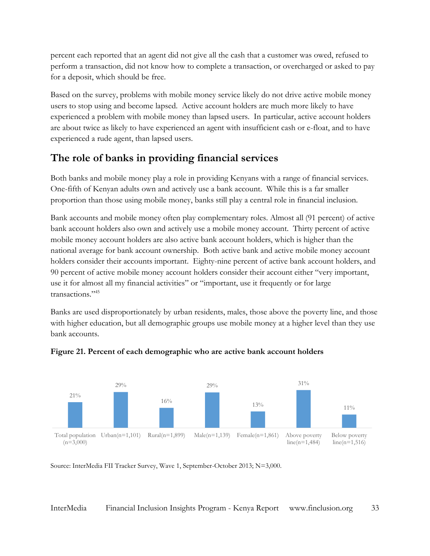percent each reported that an agent did not give all the cash that a customer was owed, refused to perform a transaction, did not know how to complete a transaction, or overcharged or asked to pay for a deposit, which should be free.

Based on the survey, problems with mobile money service likely do not drive active mobile money users to stop using and become lapsed. Active account holders are much more likely to have experienced a problem with mobile money than lapsed users. In particular, active account holders are about twice as likely to have experienced an agent with insufficient cash or e-float, and to have experienced a rude agent, than lapsed users.

## <span id="page-32-0"></span>**The role of banks in providing financial services**

Both banks and mobile money play a role in providing Kenyans with a range of financial services. One-fifth of Kenyan adults own and actively use a bank account. While this is a far smaller proportion than those using mobile money, banks still play a central role in financial inclusion.

Bank accounts and mobile money often play complementary roles. Almost all (91 percent) of active bank account holders also own and actively use a mobile money account. Thirty percent of active mobile money account holders are also active bank account holders, which is higher than the national average for bank account ownership. Both active bank and active mobile money account holders consider their accounts important. Eighty-nine percent of active bank account holders, and 90 percent of active mobile money account holders consider their account either "very important, use it for almost all my financial activities" or "important, use it frequently or for large transactions." 45

Banks are used disproportionately by urban residents, males, those above the poverty line, and those with higher education, but all demographic groups use mobile money at a higher level than they use bank accounts.



#### **Figure 21. Percent of each demographic who are active bank account holders**

Source: InterMedia FII Tracker Survey, Wave 1, September-October 2013; N=3,000.

InterMedia Financial Inclusion Insights Program - Kenya Report www.finclusion.org 33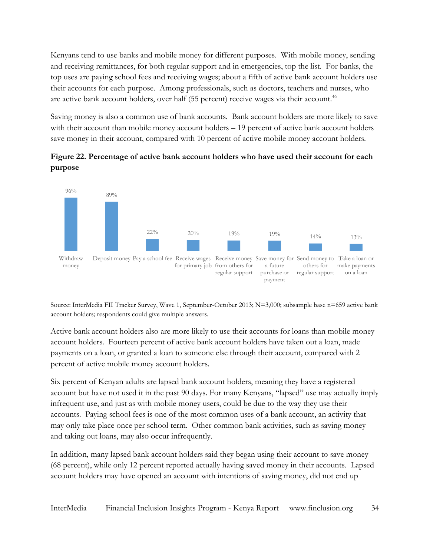Kenyans tend to use banks and mobile money for different purposes. With mobile money, sending and receiving remittances, for both regular support and in emergencies, top the list. For banks, the top uses are paying school fees and receiving wages; about a fifth of active bank account holders use their accounts for each purpose. Among professionals, such as doctors, teachers and nurses, who are active bank account holders, over half (55 percent) receive wages via their account.<sup>46</sup>

Saving money is also a common use of bank accounts. Bank account holders are more likely to save with their account than mobile money account holders – 19 percent of active bank account holders save money in their account, compared with 10 percent of active mobile money account holders.

**Figure 22. Percentage of active bank account holders who have used their account for each purpose**



Source: InterMedia FII Tracker Survey, Wave 1, September-October 2013; N=3,000; subsample base n=659 active bank account holders; respondents could give multiple answers.

Active bank account holders also are more likely to use their accounts for loans than mobile money account holders. Fourteen percent of active bank account holders have taken out a loan, made payments on a loan, or granted a loan to someone else through their account, compared with 2 percent of active mobile money account holders.

Six percent of Kenyan adults are lapsed bank account holders, meaning they have a registered account but have not used it in the past 90 days. For many Kenyans, "lapsed" use may actually imply infrequent use, and just as with mobile money users, could be due to the way they use their accounts. Paying school fees is one of the most common uses of a bank account, an activity that may only take place once per school term. Other common bank activities, such as saving money and taking out loans, may also occur infrequently.

In addition, many lapsed bank account holders said they began using their account to save money (68 percent), while only 12 percent reported actually having saved money in their accounts. Lapsed account holders may have opened an account with intentions of saving money, did not end up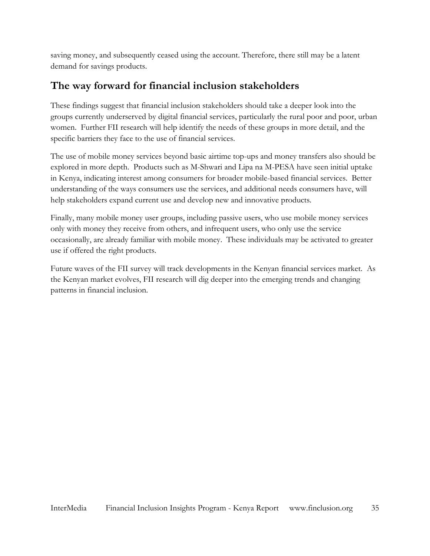saving money, and subsequently ceased using the account. Therefore, there still may be a latent demand for savings products.

## <span id="page-34-0"></span>**The way forward for financial inclusion stakeholders**

These findings suggest that financial inclusion stakeholders should take a deeper look into the groups currently underserved by digital financial services, particularly the rural poor and poor, urban women. Further FII research will help identify the needs of these groups in more detail, and the specific barriers they face to the use of financial services.

The use of mobile money services beyond basic airtime top-ups and money transfers also should be explored in more depth. Products such as M-Shwari and Lipa na M-PESA have seen initial uptake in Kenya, indicating interest among consumers for broader mobile-based financial services. Better understanding of the ways consumers use the services, and additional needs consumers have, will help stakeholders expand current use and develop new and innovative products.

Finally, many mobile money user groups, including passive users, who use mobile money services only with money they receive from others, and infrequent users, who only use the service occasionally, are already familiar with mobile money. These individuals may be activated to greater use if offered the right products.

Future waves of the FII survey will track developments in the Kenyan financial services market. As the Kenyan market evolves, FII research will dig deeper into the emerging trends and changing patterns in financial inclusion.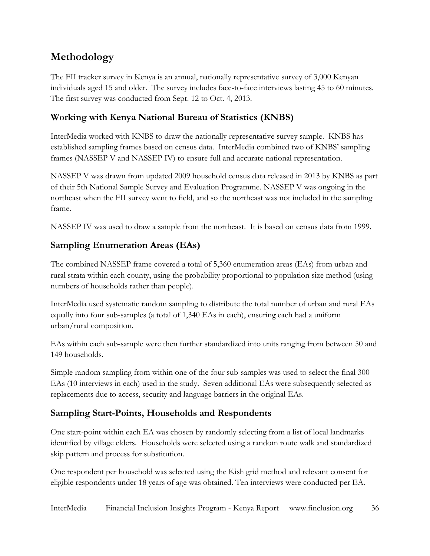## <span id="page-35-0"></span>**Methodology**

The FII tracker survey in Kenya is an annual, nationally representative survey of 3,000 Kenyan individuals aged 15 and older. The survey includes face-to-face interviews lasting 45 to 60 minutes. The first survey was conducted from Sept. 12 to Oct. 4, 2013.

#### **Working with Kenya National Bureau of Statistics (KNBS)**

InterMedia worked with KNBS to draw the nationally representative survey sample. KNBS has established sampling frames based on census data. InterMedia combined two of KNBS' sampling frames (NASSEP V and NASSEP IV) to ensure full and accurate national representation.

NASSEP V was drawn from updated 2009 household census data released in 2013 by KNBS as part of their 5th National Sample Survey and Evaluation Programme. NASSEP V was ongoing in the northeast when the FII survey went to field, and so the northeast was not included in the sampling frame.

NASSEP IV was used to draw a sample from the northeast. It is based on census data from 1999.

#### **Sampling Enumeration Areas (EAs)**

The combined NASSEP frame covered a total of 5,360 enumeration areas (EAs) from urban and rural strata within each county, using the probability proportional to population size method (using numbers of households rather than people).

InterMedia used systematic random sampling to distribute the total number of urban and rural EAs equally into four sub-samples (a total of 1,340 EAs in each), ensuring each had a uniform urban/rural composition.

EAs within each sub-sample were then further standardized into units ranging from between 50 and 149 households.

Simple random sampling from within one of the four sub-samples was used to select the final 300 EAs (10 interviews in each) used in the study. Seven additional EAs were subsequently selected as replacements due to access, security and language barriers in the original EAs.

#### **Sampling Start-Points, Households and Respondents**

One start-point within each EA was chosen by randomly selecting from a list of local landmarks identified by village elders. Households were selected using a random route walk and standardized skip pattern and process for substitution.

One respondent per household was selected using the Kish grid method and relevant consent for eligible respondents under 18 years of age was obtained. Ten interviews were conducted per EA.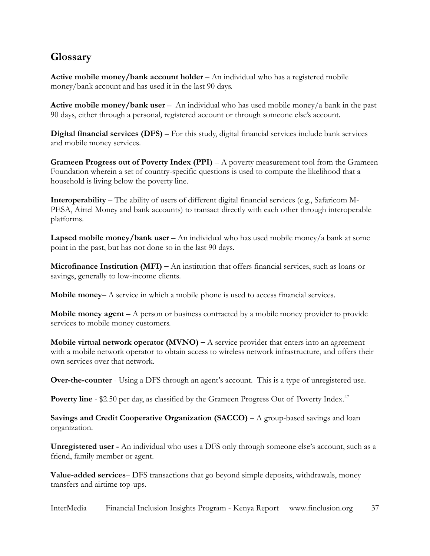## <span id="page-36-0"></span>**Glossary**

**Active mobile money/bank account holder** – An individual who has a registered mobile money/bank account and has used it in the last 90 days.

**Active mobile money/bank user** –An individual who has used mobile money/a bank in the past 90 days, either through a personal, registered account or through someone else's account.

**Digital financial services (DFS)** – For this study, digital financial services include bank services and mobile money services.

**Grameen Progress out of Poverty Index (PPI)** – A poverty measurement tool from the Grameen Foundation wherein a set of country-specific questions is used to compute the likelihood that a household is living below the poverty line.

**Interoperability** – The ability of users of different digital financial services (e.g., Safaricom M-PESA, Airtel Money and bank accounts) to transact directly with each other through interoperable platforms.

**Lapsed mobile money/bank user** – An individual who has used mobile money/a bank at some point in the past, but has not done so in the last 90 days.

**Microfinance Institution (MFI) –** An institution that offers financial services, such as loans or savings, generally to low-income clients.

**Mobile money**– A service in which a mobile phone is used to access financial services.

**Mobile money agent** – A person or business contracted by a mobile money provider to provide services to mobile money customers.

**Mobile virtual network operator**  $(MVNO) - A$  **service provider that enters into an agreement** with a mobile network operator to obtain access to wireless network infrastructure, and offers their own services over that network.

**Over-the-counter** - Using a DFS through an agent's account. This is a type of unregistered use.

**Poverty line - \$2.50 per day, as classified by the Grameen Progress Out of Poverty Index.<sup>47</sup>** 

**Savings and Credit Cooperative Organization (SACCO) – A group-based savings and loan** organization.

**Unregistered user -** An individual who uses a DFS only through someone else's account, such as a friend, family member or agent.

**Value-added services**– DFS transactions that go beyond simple deposits, withdrawals, money transfers and airtime top-ups.

InterMedia Financial Inclusion Insights Program - Kenya Report www.finclusion.org 37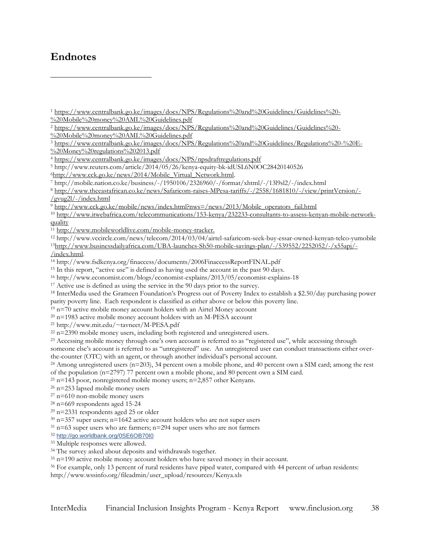#### **Endnotes**

 $\overline{a}$ 

<sup>21</sup> http://www.mit.edu/~tavneet/M-PESA.pdf

someone else's account is referred to as "unregistered" use. An unregistered user can conduct transactions either overthe-counter (OTC) with an agent, or through another individual's personal account.

```
<sup>24</sup> Among unregistered users (n=203), 34 percent own a mobile phone, and 40 percent own a SIM card; among the rest
of the population (n=2797) 77 percent own a mobile phone, and 80 percent own a SIM card.
```

```
25 n=143 poor, nonregistered mobile money users; n=2,857 other Kenyans.
```
<sup>26</sup> n=253 lapsed mobile money users

32 <http://go.worldbank.org/0SE6OB70I0>

<sup>33</sup> Multiple responses were allowed.

http://www.wssinfo.org/fileadmin/user\_upload/resources/Kenya.xls

<sup>1</sup> [https://www.centralbank.go.ke/images/docs/NPS/Regulations%20and%20Guidelines/Guidelines%20-](https://www.centralbank.go.ke/images/docs/NPS/Regulations%20and%20Guidelines/Guidelines%20-%20Mobile%20money%20AML%20Guidelines.pdf) [%20Mobile%20money%20AML%20Guidelines.pdf](https://www.centralbank.go.ke/images/docs/NPS/Regulations%20and%20Guidelines/Guidelines%20-%20Mobile%20money%20AML%20Guidelines.pdf)

<sup>&</sup>lt;sup>2</sup> [https://www.centralbank.go.ke/images/docs/NPS/Regulations%20and%20Guidelines/Guidelines%20-](https://www.centralbank.go.ke/images/docs/NPS/Regulations%20and%20Guidelines/Guidelines%20-%20Mobile%20money%20AML%20Guidelines.pdf)

[<sup>%20</sup>Mobile%20money%20AML%20Guidelines.pdf](https://www.centralbank.go.ke/images/docs/NPS/Regulations%20and%20Guidelines/Guidelines%20-%20Mobile%20money%20AML%20Guidelines.pdf)

<sup>3</sup> [https://www.centralbank.go.ke/images/docs/NPS/Regulations%20and%20Guidelines/Regulations%20-%20E-](https://www.centralbank.go.ke/images/docs/NPS/Regulations%20and%20Guidelines/Regulations%20-%20E-%20Money%20regulations%202013.pdf) [%20Money%20regulations%202013.pdf](https://www.centralbank.go.ke/images/docs/NPS/Regulations%20and%20Guidelines/Regulations%20-%20E-%20Money%20regulations%202013.pdf)

<sup>4</sup> <https://www.centralbank.go.ke/images/docs/NPS/npsdraftregulations.pdf>

<sup>5</sup> http://www.reuters.com/article/2014/05/26/kenya-equity-bk-idUSL6N0OC28420140526

<sup>6</sup>[http://www.cck.go.ke/news/2014/Mobile\\_Virtual\\_Network.html.](http://www.cck.go.ke/news/2014/Mobile_Virtual_Network.html)

<sup>7</sup> http://mobile.nation.co.ke/business/-/1950106/2326960/-/format/xhtml/-/13l9sl2/-/index.html

<sup>8</sup> [http://www.theeastafrican.co.ke/news/Safaricom-raises-MPesa-tariffs/-/2558/1681810/-/view/printVersion/-](http://www.theeastafrican.co.ke/news/Safaricom-raises-MPesa-tariffs/-/2558/1681810/-/view/printVersion/-/gvug2l/-/index.html) [/gvug2l/-/index.html](http://www.theeastafrican.co.ke/news/Safaricom-raises-MPesa-tariffs/-/2558/1681810/-/view/printVersion/-/gvug2l/-/index.html)

<sup>9</sup> [http://www.cck.go.ke/mobile/news/index.html?nws=/news/2013/Mobile\\_operators\\_fail.html](http://www.cck.go.ke/mobile/news/index.html?nws=/news/2013/Mobile_operators_fail.html)

<sup>10</sup> [http://www.itwebafrica.com/telecommunications/153-kenya/232233-consultants-to-assess-kenyan-mobile-network](http://www.itwebafrica.com/telecommunications/153-kenya/232233-consultants-to-assess-kenyan-mobile-network-quality)[quality](http://www.itwebafrica.com/telecommunications/153-kenya/232233-consultants-to-assess-kenyan-mobile-network-quality)

<sup>11</sup> [http://www.mobileworldlive.com/mobile-money-tracker.](http://www.mobileworldlive.com/mobile-money-tracker)

<sup>12</sup> http://www.vccircle.com/news/telecom/2014/03/04/airtel-safaricom-seek-buy-essar-owned-kenyan-telco-yumobile <sup>13</sup>[http://www.businessdailyafrica.com/UBA-launches-Sh50-mobile-savings-plan/-/539552/2252052/-/x55apj/-](http://www.businessdailyafrica.com/UBA-launches-Sh50-mobile-savings-plan/-/539552/2252052/-/x55apj/-/index.html)

[<sup>/</sup>index.html.](http://www.businessdailyafrica.com/UBA-launches-Sh50-mobile-savings-plan/-/539552/2252052/-/x55apj/-/index.html) 

<sup>14</sup> http://www.fsdkenya.org/finaccess/documents/2006FinaccessReportFINAL.pdf

<sup>&</sup>lt;sup>15</sup> In this report, "active use" is defined as having used the account in the past 90 days.

<sup>16</sup> http://www.economist.com/blogs/economist-explains/2013/05/economist-explains-18

<sup>&</sup>lt;sup>17</sup> Active use is defined as using the service in the 90 days prior to the survey.

<sup>18</sup> InterMedia used the Grameen Foundation's Progress out of Poverty Index to establish a \$2.50/day purchasing power parity poverty line. Each respondent is classified as either above or below this poverty line.

 $19$  n=70 active mobile money account holders with an Airtel Money account

 $20$  n=1983 active mobile money account holders with an M-PESA account

<sup>&</sup>lt;sup>22</sup> n=2390 mobile money users, including both registered and unregistered users.

<sup>&</sup>lt;sup>23</sup> Accessing mobile money through one's own account is referred to as "registered use", while accessing through

 $27$  n=610 non-mobile money users

 $28$  n=669 respondents aged 15-24

<sup>29</sup> n=2331 respondents aged 25 or older

 $30$  n=357 super users; n=1642 active account holders who are not super users

 $31$  n=63 super users who are farmers; n=294 super users who are not farmers

<sup>&</sup>lt;sup>34</sup> The survey asked about deposits and withdrawals together.

<sup>35</sup> n=190 active mobile money account holders who have saved money in their account.

<sup>&</sup>lt;sup>36</sup> For example, only 13 percent of rural residents have piped water, compared with 44 percent of urban residents: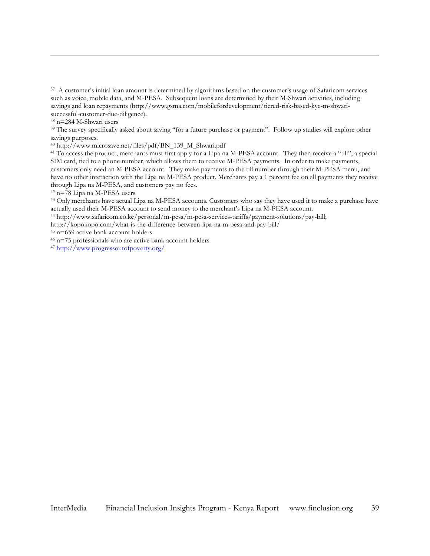<sup>37</sup> A customer's initial loan amount is determined by algorithms based on the customer's usage of Safaricom services such as voice, mobile data, and M-PESA. Subsequent loans are determined by their M-Shwari activities, including savings and loan repayments (http://www.gsma.com/mobilefordevelopment/tiered-risk-based-kyc-m-shwarisuccessful-customer-due-diligence).

<sup>38</sup> n=284 M-Shwari users

 $\overline{a}$ 

<sup>39</sup> The survey specifically asked about saving "for a future purchase or payment". Follow up studies will explore other savings purposes.

<sup>40</sup> http://www.microsave.net/files/pdf/BN\_139\_M\_Shwari.pdf

<sup>41</sup> To access the product, merchants must first apply for a Lipa na M-PESA account. They then receive a "till", a special SIM card, tied to a phone number, which allows them to receive M-PESA payments. In order to make payments, customers only need an M-PESA account. They make payments to the till number through their M-PESA menu, and have no other interaction with the Lipa na M-PESA product. Merchants pay a 1 percent fee on all payments they receive through Lipa na M-PESA, and customers pay no fees.

<sup>42</sup> n=78 Lipa na M-PESA users

<sup>43</sup> Only merchants have actual Lipa na M-PESA accounts. Customers who say they have used it to make a purchase have actually used their M-PESA account to send money to the merchant's Lipa na M-PESA account.

<sup>44</sup> http://www.safaricom.co.ke/personal/m-pesa/m-pesa-services-tariffs/payment-solutions/pay-bill;

http://kopokopo.com/what-is-the-difference-between-lipa-na-m-pesa-and-pay-bill/

<sup>45</sup> n=659 active bank account holders

<sup>46</sup> n=75 professionals who are active bank account holders

<sup>47</sup> <http://www.progressoutofpoverty.org/>